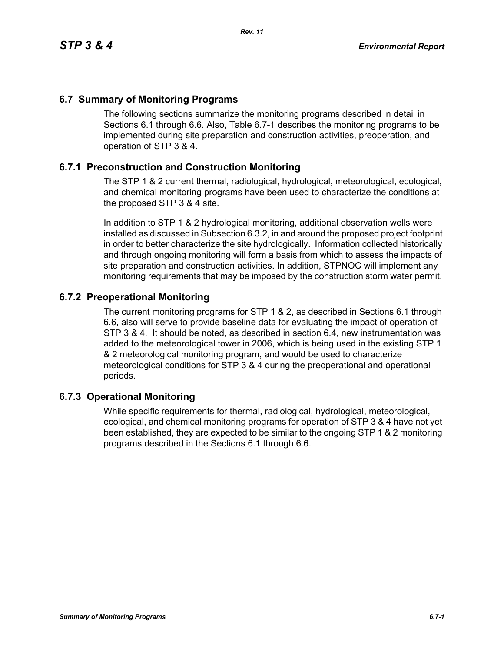## **6.7 Summary of Monitoring Programs**

The following sections summarize the monitoring programs described in detail in Sections 6.1 through 6.6. Also, Table 6.7-1 describes the monitoring programs to be implemented during site preparation and construction activities, preoperation, and operation of STP 3 & 4.

## **6.7.1 Preconstruction and Construction Monitoring**

The STP 1 & 2 current thermal, radiological, hydrological, meteorological, ecological, and chemical monitoring programs have been used to characterize the conditions at the proposed STP 3 & 4 site.

In addition to STP 1 & 2 hydrological monitoring, additional observation wells were installed as discussed in Subsection 6.3.2, in and around the proposed project footprint in order to better characterize the site hydrologically. Information collected historically and through ongoing monitoring will form a basis from which to assess the impacts of site preparation and construction activities. In addition, STPNOC will implement any monitoring requirements that may be imposed by the construction storm water permit.

## **6.7.2 Preoperational Monitoring**

The current monitoring programs for STP 1 & 2, as described in Sections 6.1 through 6.6, also will serve to provide baseline data for evaluating the impact of operation of STP 3 & 4. It should be noted, as described in section 6.4, new instrumentation was added to the meteorological tower in 2006, which is being used in the existing STP 1 & 2 meteorological monitoring program, and would be used to characterize meteorological conditions for STP 3 & 4 during the preoperational and operational periods.

## **6.7.3 Operational Monitoring**

While specific requirements for thermal, radiological, hydrological, meteorological, ecological, and chemical monitoring programs for operation of STP 3 & 4 have not yet been established, they are expected to be similar to the ongoing STP 1 & 2 monitoring programs described in the Sections 6.1 through 6.6.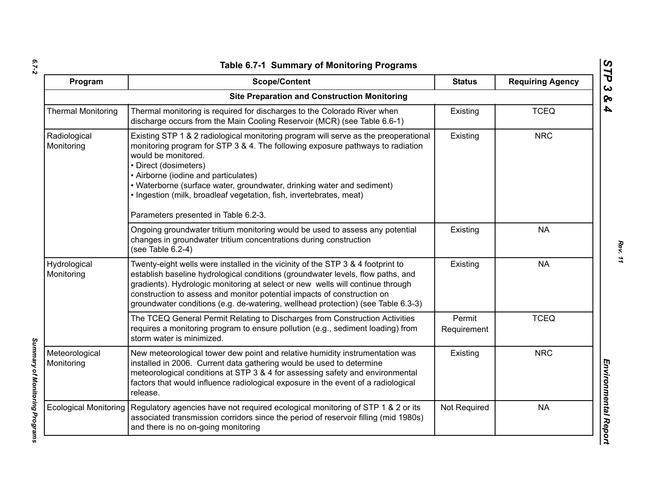| ۰.     |  |
|--------|--|
|        |  |
| $\sim$ |  |

*Summary of Monitoring Programs* 

Summary of Monitoring Programs

| Program                      | <b>Scope/Content</b>                                                                                                                                                                                                                                                                                                                                                                                                                                   | <b>Status</b>         | <b>Requiring Agency</b> |
|------------------------------|--------------------------------------------------------------------------------------------------------------------------------------------------------------------------------------------------------------------------------------------------------------------------------------------------------------------------------------------------------------------------------------------------------------------------------------------------------|-----------------------|-------------------------|
|                              | <b>Site Preparation and Construction Monitoring</b>                                                                                                                                                                                                                                                                                                                                                                                                    |                       |                         |
| <b>Thermal Monitoring</b>    | Thermal monitoring is required for discharges to the Colorado River when<br>discharge occurs from the Main Cooling Reservoir (MCR) (see Table 6.6-1)                                                                                                                                                                                                                                                                                                   | Existing              | <b>TCEQ</b>             |
| Radiological<br>Monitoring   | Existing STP 1 & 2 radiological monitoring program will serve as the preoperational<br>monitoring program for STP 3 & 4. The following exposure pathways to radiation<br>would be monitored.<br>• Direct (dosimeters)<br>• Airborne (iodine and particulates)<br>• Waterborne (surface water, groundwater, drinking water and sediment)<br>. Ingestion (milk, broadleaf vegetation, fish, invertebrates, meat)<br>Parameters presented in Table 6.2-3. | Existing              | <b>NRC</b>              |
|                              | Ongoing groundwater tritium monitoring would be used to assess any potential<br>changes in groundwater tritium concentrations during construction<br>(see Table 6.2-4)                                                                                                                                                                                                                                                                                 | Existing              | <b>NA</b>               |
| Hydrological<br>Monitoring   | Twenty-eight wells were installed in the vicinity of the STP 3 & 4 footprint to<br>establish baseline hydrological conditions (groundwater levels, flow paths, and<br>gradients). Hydrologic monitoring at select or new wells will continue through<br>construction to assess and monitor potential impacts of construction on<br>groundwater conditions (e.g. de-watering, wellhead protection) (see Table 6.3-3)                                    | Existing              | <b>NA</b>               |
|                              | The TCEQ General Permit Relating to Discharges from Construction Activities<br>requires a monitoring program to ensure pollution (e.g., sediment loading) from<br>storm water is minimized.                                                                                                                                                                                                                                                            | Permit<br>Requirement | <b>TCEQ</b>             |
| Meteorological<br>Monitoring | New meteorological tower dew point and relative humidity instrumentation was<br>installed in 2006. Current data gathering would be used to determine<br>meteorological conditions at STP 3 & 4 for assessing safety and environmental<br>factors that would influence radiological exposure in the event of a radiological<br>release.                                                                                                                 | Existing              | <b>NRC</b>              |
| <b>Ecological Monitoring</b> | Regulatory agencies have not required ecological monitoring of STP 1 & 2 or its<br>associated transmission corridors since the period of reservoir filling (mid 1980s)<br>and there is no on-going monitoring                                                                                                                                                                                                                                          | Not Required          | <b>NA</b>               |

*STP 3 & 4*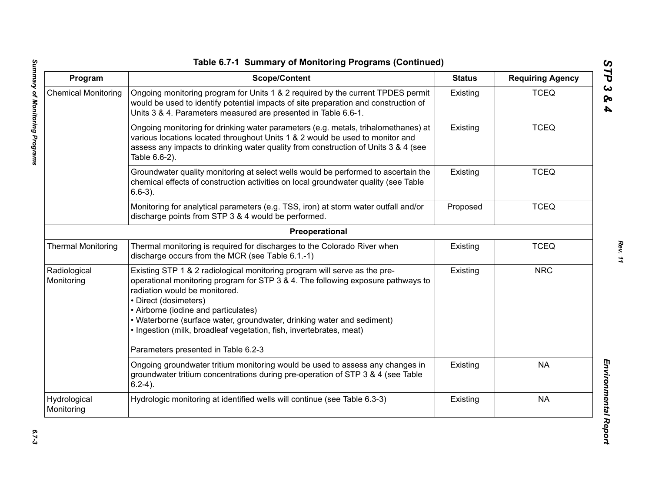| Program                    | <b>Scope/Content</b>                                                                                                                                                                                                                                                                                                                                                                                                                                    | <b>Status</b> | <b>Requiring Agency</b> |
|----------------------------|---------------------------------------------------------------------------------------------------------------------------------------------------------------------------------------------------------------------------------------------------------------------------------------------------------------------------------------------------------------------------------------------------------------------------------------------------------|---------------|-------------------------|
| <b>Chemical Monitoring</b> | Ongoing monitoring program for Units 1 & 2 required by the current TPDES permit<br>would be used to identify potential impacts of site preparation and construction of<br>Units 3 & 4. Parameters measured are presented in Table 6.6-1.                                                                                                                                                                                                                | Existing      | <b>TCEQ</b>             |
|                            | Ongoing monitoring for drinking water parameters (e.g. metals, trihalomethanes) at<br>various locations located throughout Units 1 & 2 would be used to monitor and<br>assess any impacts to drinking water quality from construction of Units 3 & 4 (see<br>Table 6.6-2).                                                                                                                                                                              | Existing      | <b>TCEQ</b>             |
|                            | Groundwater quality monitoring at select wells would be performed to ascertain the<br>chemical effects of construction activities on local groundwater quality (see Table<br>$6.6-3$ ).                                                                                                                                                                                                                                                                 | Existing      | <b>TCEQ</b>             |
|                            | Monitoring for analytical parameters (e.g. TSS, iron) at storm water outfall and/or<br>discharge points from STP 3 & 4 would be performed.                                                                                                                                                                                                                                                                                                              | Proposed      | <b>TCEQ</b>             |
|                            | Preoperational                                                                                                                                                                                                                                                                                                                                                                                                                                          |               |                         |
| <b>Thermal Monitoring</b>  | Thermal monitoring is required for discharges to the Colorado River when<br>discharge occurs from the MCR (see Table 6.1.-1)                                                                                                                                                                                                                                                                                                                            | Existing      | <b>TCEQ</b>             |
| Radiological<br>Monitoring | Existing STP 1 & 2 radiological monitoring program will serve as the pre-<br>operational monitoring program for STP 3 & 4. The following exposure pathways to<br>radiation would be monitored.<br>• Direct (dosimeters)<br>• Airborne (iodine and particulates)<br>• Waterborne (surface water, groundwater, drinking water and sediment)<br>· Ingestion (milk, broadleaf vegetation, fish, invertebrates, meat)<br>Parameters presented in Table 6.2-3 | Existing      | <b>NRC</b>              |
|                            | Ongoing groundwater tritium monitoring would be used to assess any changes in<br>groundwater tritium concentrations during pre-operation of STP 3 & 4 (see Table<br>$6.2-4$ ).                                                                                                                                                                                                                                                                          | Existing      | <b>NA</b>               |
| Hydrological<br>Monitoring | Hydrologic monitoring at identified wells will continue (see Table 6.3-3)                                                                                                                                                                                                                                                                                                                                                                               | Existing      | <b>NA</b>               |

*STP 3 & 4*

 $6.7 - 3$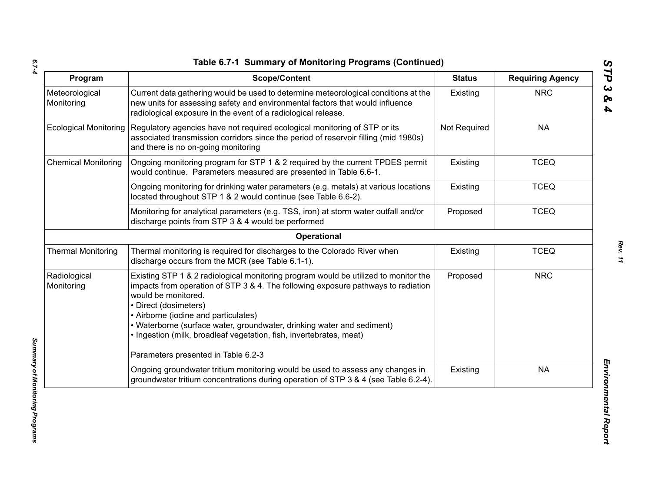*6.7-4*

| Program                      | <b>Scope/Content</b>                                                                                                                                                                                                                                                                                                                                                                                              | <b>Status</b> | <b>Requiring Agency</b> |
|------------------------------|-------------------------------------------------------------------------------------------------------------------------------------------------------------------------------------------------------------------------------------------------------------------------------------------------------------------------------------------------------------------------------------------------------------------|---------------|-------------------------|
| Meteorological<br>Monitoring | Current data gathering would be used to determine meteorological conditions at the<br>new units for assessing safety and environmental factors that would influence<br>radiological exposure in the event of a radiological release.                                                                                                                                                                              | Existing      | <b>NRC</b>              |
| <b>Ecological Monitoring</b> | Regulatory agencies have not required ecological monitoring of STP or its<br>associated transmission corridors since the period of reservoir filling (mid 1980s)<br>and there is no on-going monitoring                                                                                                                                                                                                           | Not Required  | <b>NA</b>               |
| <b>Chemical Monitoring</b>   | Ongoing monitoring program for STP 1 & 2 required by the current TPDES permit<br>would continue. Parameters measured are presented in Table 6.6-1.                                                                                                                                                                                                                                                                | Existing      | <b>TCEQ</b>             |
|                              | Ongoing monitoring for drinking water parameters (e.g. metals) at various locations<br>located throughout STP 1 & 2 would continue (see Table 6.6-2).                                                                                                                                                                                                                                                             | Existing      | <b>TCEQ</b>             |
|                              | Monitoring for analytical parameters (e.g. TSS, iron) at storm water outfall and/or<br>discharge points from STP 3 & 4 would be performed                                                                                                                                                                                                                                                                         | Proposed      | <b>TCEQ</b>             |
|                              | Operational                                                                                                                                                                                                                                                                                                                                                                                                       |               |                         |
| <b>Thermal Monitoring</b>    | Thermal monitoring is required for discharges to the Colorado River when<br>discharge occurs from the MCR (see Table 6.1-1).                                                                                                                                                                                                                                                                                      | Existing      | <b>TCEQ</b>             |
| Radiological<br>Monitoring   | Existing STP 1 & 2 radiological monitoring program would be utilized to monitor the<br>impacts from operation of STP 3 & 4. The following exposure pathways to radiation<br>would be monitored.<br>• Direct (dosimeters)<br>• Airborne (iodine and particulates)<br>• Waterborne (surface water, groundwater, drinking water and sediment)<br>· Ingestion (milk, broadleaf vegetation, fish, invertebrates, meat) | Proposed      | <b>NRC</b>              |
|                              | Parameters presented in Table 6.2-3                                                                                                                                                                                                                                                                                                                                                                               |               |                         |
|                              | Ongoing groundwater tritium monitoring would be used to assess any changes in<br>groundwater tritium concentrations during operation of STP 3 & 4 (see Table 6.2-4).                                                                                                                                                                                                                                              | Existing      | <b>NA</b>               |